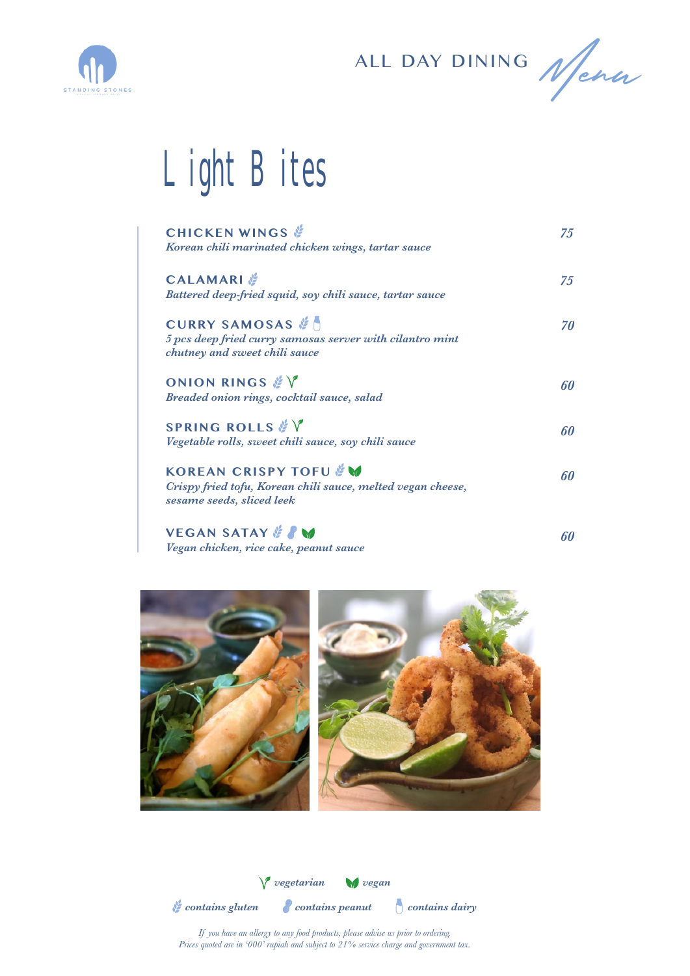

ALL DAY DINING Nena

## Light Bites

| <b>CHICKEN WINGS</b><br>Korean chili marinated chicken wings, tartar sauce                                                    | 75  |
|-------------------------------------------------------------------------------------------------------------------------------|-----|
| <b>CALAMARI</b><br>Battered deep-fried squid, soy chili sauce, tartar sauce                                                   | 75  |
| <b>CURRY SAMOSAS</b><br>5 pcs deep fried curry samosas server with cilantro mint<br>chutney and sweet chili sauce             | 70  |
| ONION RINGS & V<br>Breaded onion rings, cocktail sauce, salad                                                                 | 60  |
| SPRING ROLLS & V<br>Vegetable rolls, sweet chili sauce, soy chili sauce                                                       | 60  |
| <b>KOREAN CRISPY TOFU &amp; W</b><br>Crispy fried tofu, Korean chili sauce, melted vegan cheese,<br>sesame seeds, sliced leek | 60  |
| <b>VEGAN SATAY &amp; PM</b>                                                                                                   | cΛ. |

**VEGAN SATAY** *Vegan chicken, rice cake, peanut sauce*

*60*



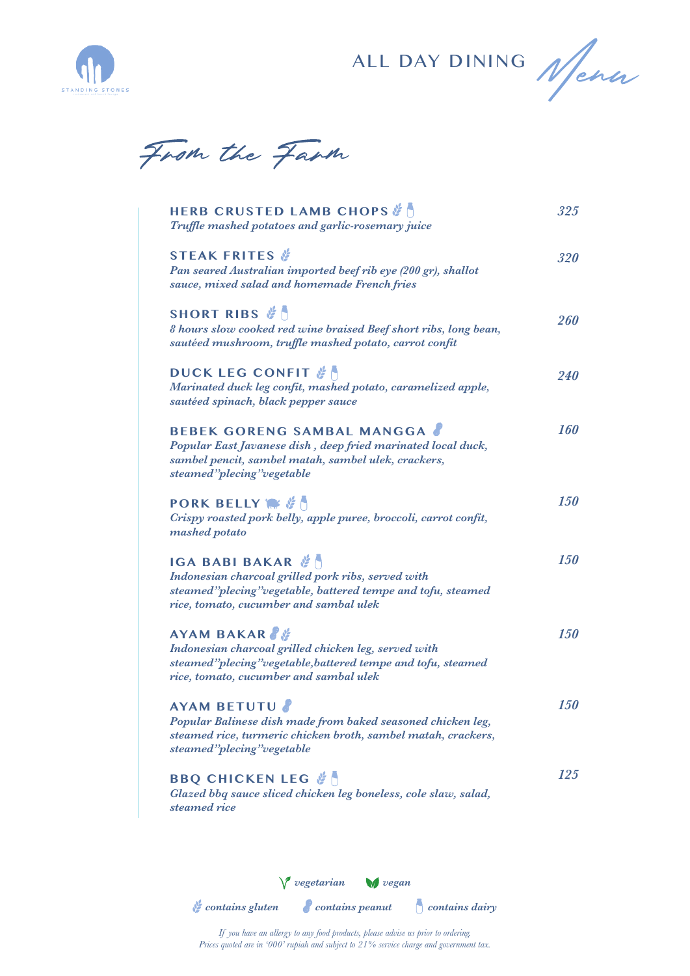

ALL DAY DINING Nena

From the Farm

| <b>HERB CRUSTED LAMB CHOPS &amp;</b><br>Truffle mashed potatoes and garlic-rosemary juice                                                                                              | 325               |
|----------------------------------------------------------------------------------------------------------------------------------------------------------------------------------------|-------------------|
| <b>STEAK FRITES</b><br>Pan seared Australian imported beef rib eye (200 gr), shallot<br>sauce, mixed salad and homemade French fries                                                   | 320               |
| SHORT RIBS &<br>8 hours slow cooked red wine braised Beef short ribs, long bean,<br>sautéed mushroom, truffle mashed potato, carrot confit                                             | 260               |
| DUCK LEG CONFIT &<br>Marinated duck leg confit, mashed potato, caramelized apple,<br>sautéed spinach, black pepper sauce                                                               | <i><b>240</b></i> |
| <b>BEBEK GORENG SAMBAL MANGGA</b><br>Popular East Javanese dish, deep fried marinated local duck,<br>sambel pencit, sambel matah, sambel ulek, crackers,<br>steamed"plecing"vegetable  | <b>160</b>        |
| <b>PORK BELLY WE &amp; A</b><br>Crispy roasted pork belly, apple puree, broccoli, carrot confit,<br>mashed potato                                                                      | <i><b>150</b></i> |
| IGA BABI BAKAR <b>N</b><br>Indonesian charcoal grilled pork ribs, served with<br>steamed"plecing"vegetable, battered tempe and tofu, steamed<br>rice, tomato, cucumber and sambal ulek | <b>150</b>        |
| AYAM BAKAR<br>Indonesian charcoal grilled chicken leg, served with<br>steamed"plecing"vegetable, battered tempe and tofu, steamed<br>rice, tomato, cucumber and sambal ulek            | <b>150</b>        |
| <b>AYAM BETUTU</b><br>Popular Balinese dish made from baked seasoned chicken leg,<br>steamed rice, turmeric chicken broth, sambel matah, crackers,<br>steamed"plecing"vegetable        | <b>150</b>        |
| <b>BBQ CHICKEN LEG &amp; A</b><br>Glazed bbq sauce sliced chicken leg boneless, cole slaw, salad,<br>steamed rice                                                                      | 125               |
|                                                                                                                                                                                        |                   |

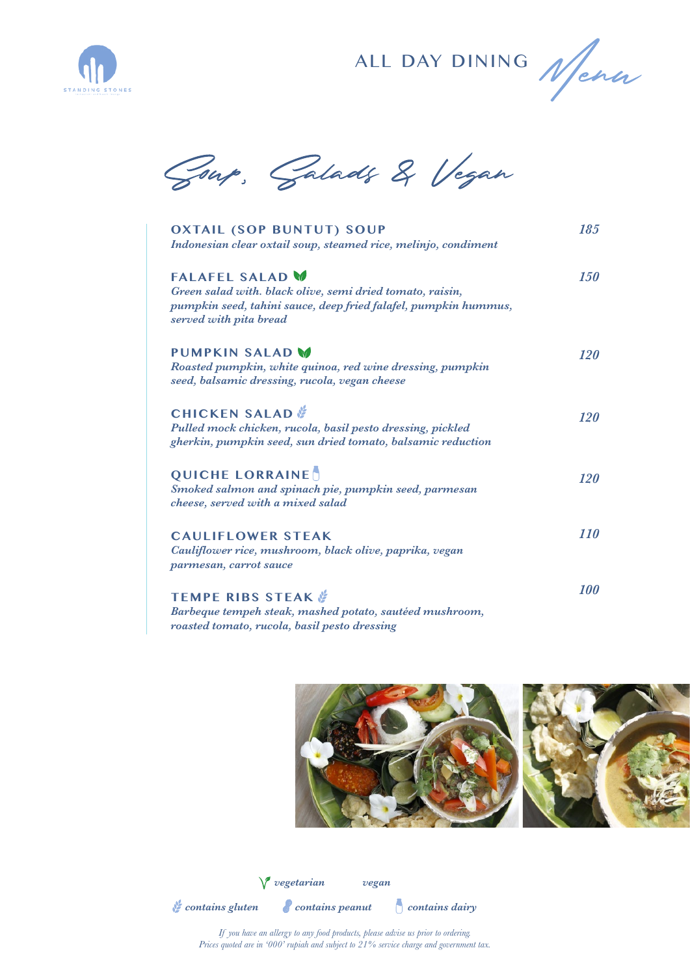

ALL DAY DINING Nena

Goup, Galads & Vegan

| <b>OXTAIL (SOP BUNTUT) SOUP</b><br>Indonesian clear oxtail soup, steamed rice, melinjo, condiment                                                                                | 185               |
|----------------------------------------------------------------------------------------------------------------------------------------------------------------------------------|-------------------|
| <b>FALAFEL SALAD M</b><br>Green salad with. black olive, semi dried tomato, raisin,<br>pumpkin seed, tahini sauce, deep fried falafel, pumpkin hummus,<br>served with pita bread | <i>150</i>        |
| <b>PUMPKIN SALAD M</b><br>Roasted pumpkin, white quinoa, red wine dressing, pumpkin<br>seed, balsamic dressing, rucola, vegan cheese                                             | <b>120</b>        |
| <b>CHICKEN SALAD</b><br>Pulled mock chicken, rucola, basil pesto dressing, pickled<br>gherkin, pumpkin seed, sun dried tomato, balsamic reduction                                | <b>120</b>        |
| <b>QUICHE LORRAINE</b><br>Smoked salmon and spinach pie, pumpkin seed, parmesan<br>cheese, served with a mixed salad                                                             | <b>120</b>        |
| <b>CAULIFLOWER STEAK</b><br>Cauliflower rice, mushroom, black olive, paprika, vegan<br>parmesan, carrot sauce                                                                    | <i>110</i>        |
| <b>TEMPE RIBS STEAK &amp;</b><br>Barbeque tempeh steak, mashed potato, sautéed mushroom,<br>roasted tomato, rucola, basil pesto dressing                                         | <i><b>100</b></i> |



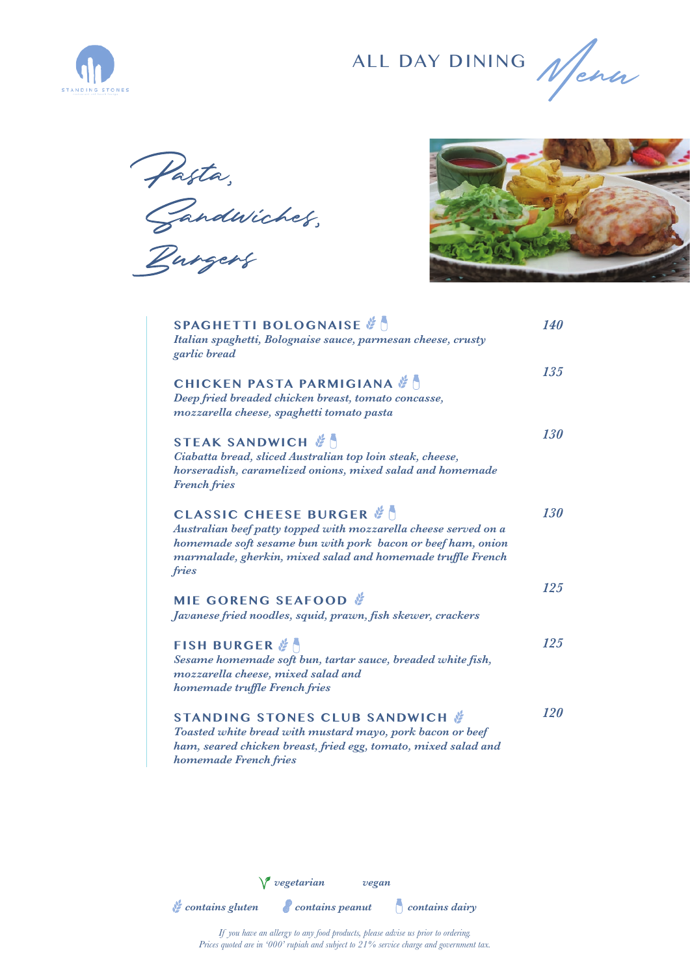

ALL DAY DINING Nena

Pasta,<br>Gandwiches,<br>Burgers



| SPAGHETTI BOLOGNAISE<br>Italian spaghetti, Bolognaise sauce, parmesan cheese, crusty<br>garlic bread                                                                                                                                         | <b>140</b> |
|----------------------------------------------------------------------------------------------------------------------------------------------------------------------------------------------------------------------------------------------|------------|
| <b>CHICKEN PASTA PARMIGIANA &amp; N</b><br>Deep fried breaded chicken breast, tomato concasse,<br>mozzarella cheese, spaghetti tomato pasta                                                                                                  | 135        |
| STEAK SANDWICH &<br>Ciabatta bread, sliced Australian top loin steak, cheese,<br>horseradish, caramelized onions, mixed salad and homemade<br><b>French fries</b>                                                                            | 130        |
| <b>CLASSIC CHEESE BURGER &amp;</b><br>Australian beef patty topped with mozzarella cheese served on a<br>homemade soft sesame bun with pork bacon or beef ham, onion<br>marmalade, gherkin, mixed salad and homemade truffle French<br>fries | 130        |
| MIE GORENG SEAFOOD<br>Javanese fried noodles, squid, prawn, fish skewer, crackers                                                                                                                                                            | <b>125</b> |
| <b>FISH BURGER &amp;</b><br>Sesame homemade soft bun, tartar sauce, breaded white fish,<br>mozzarella cheese, mixed salad and<br>homemade truffle French fries                                                                               | <b>125</b> |
| <b>STANDING STONES CLUB SANDWICH &amp;</b><br>Toasted white bread with mustard mayo, pork bacon or beef<br>ham, seared chicken breast, fried egg, tomato, mixed salad and<br>homemade French fries                                           | <b>120</b> |

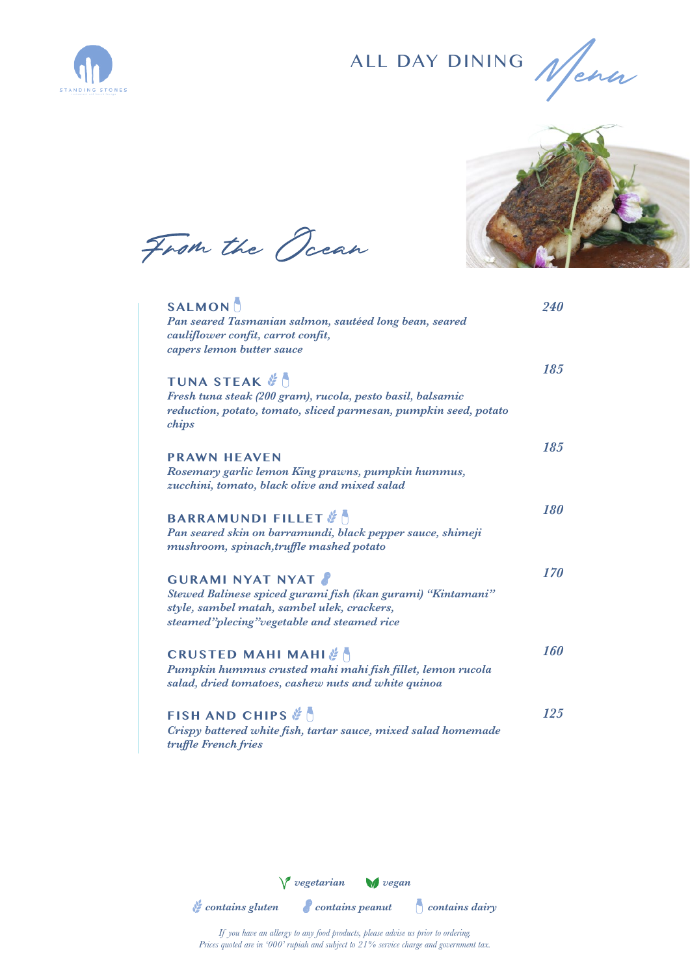

ALL DAY DINING





From the Ocean

| <b>SALMON</b><br>Pan seared Tasmanian salmon, sautéed long bean, seared<br>cauliflower confit, carrot confit,<br>capers lemon butter sauce                                            | <b>240</b>        |
|---------------------------------------------------------------------------------------------------------------------------------------------------------------------------------------|-------------------|
| <b>TUNA STEAK #</b><br>Fresh tuna steak (200 gram), rucola, pesto basil, balsamic<br>reduction, potato, tomato, sliced parmesan, pumpkin seed, potato<br>chips                        | 185               |
| <b>PRAWN HEAVEN</b><br>Rosemary garlic lemon King prawns, pumpkin hummus,<br>zucchini, tomato, black olive and mixed salad                                                            | 18.5              |
| <b>BARRAMUNDI FILLET</b> &<br>Pan seared skin on barramundi, black pepper sauce, shimeji<br>mushroom, spinach, truffle mashed potato                                                  | 180               |
| <b>GURAMI NYAT NYAT</b><br>Stewed Balinese spiced gurami fish (ikan gurami) "Kintamani"<br>style, sambel matah, sambel ulek, crackers,<br>steamed"plecing" vegetable and steamed rice | 170               |
| CRUSTED MAHI MAHI & A<br>Pumpkin hummus crusted mahi mahi fish fillet, lemon rucola<br>salad, dried tomatoes, cashew nuts and white quinoa                                            | <i><b>160</b></i> |
| FISH AND CHIPS $\mathscr{C}$<br>Crispy battered white fish, tartar sauce, mixed salad homemade<br>truffle French fries                                                                | 125               |

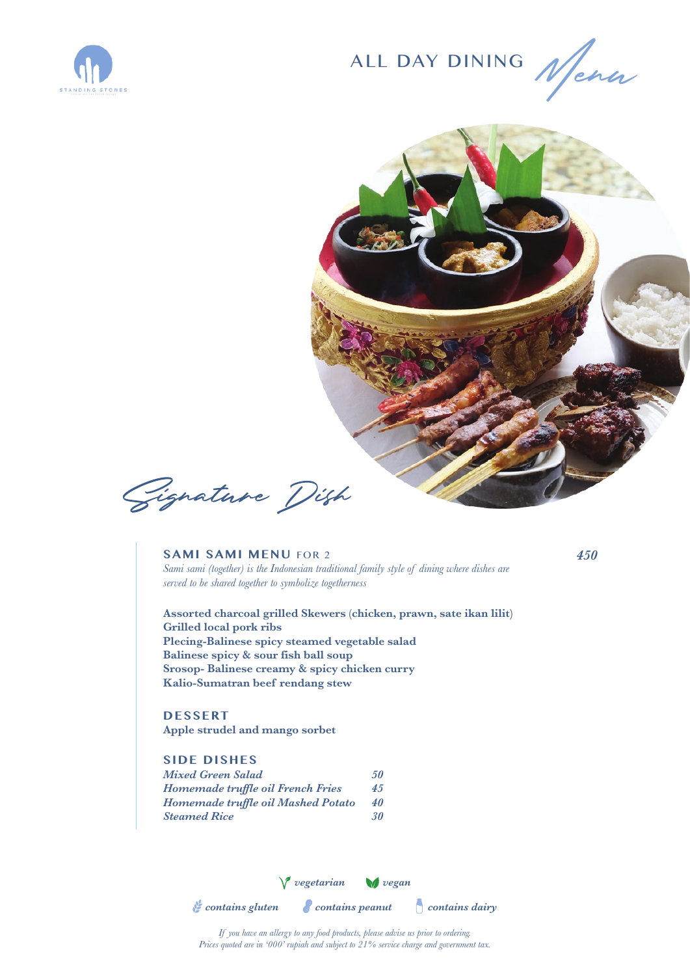





Gignature Dish

**SAMI SAMI MENU** FOR 2 *Sami sami (together) is the Indonesian traditional family style of dining where dishes are served to be shared together to symbolize togetherness*

*450*

**Assorted charcoal grilled Skewers (chicken, prawn, sate ikan lilit) Grilled local pork ribs Plecing-Balinese spicy steamed vegetable salad Balinese spicy & sour fish ball soup Srosop- Balinese creamy & spicy chicken curry Kalio-Sumatran beef rendang stew**

**DESSERT**

**Apple strudel and mango sorbet**

## **SIDE DISHES**

| Mixed Green Salad                  | 50 |
|------------------------------------|----|
| Homemade truffle oil French Fries  | 45 |
| Homemade truffle oil Mashed Potato | 40 |
| <b>Steamed Rice</b>                | 30 |